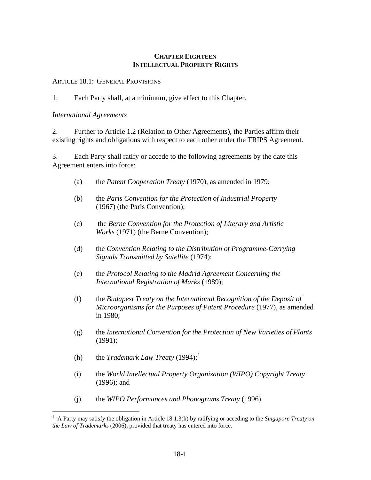#### **CHAPTER EIGHTEEN INTELLECTUAL PROPERTY RIGHTS**

#### ARTICLE 18.1: GENERAL PROVISIONS

1. Each Party shall, at a minimum, give effect to this Chapter.

#### *International Agreements*

2. Further to Article 1.2 (Relation to Other Agreements), the Parties affirm their existing rights and obligations with respect to each other under the TRIPS Agreement.

3. Each Party shall ratify or accede to the following agreements by the date this Agreement enters into force:

- (a) the *Patent Cooperation Treaty* (1970), as amended in 1979;
- (b) the *Paris Convention for the Protection of Industrial Property* (1967) (the Paris Convention);
- (c) the *Berne Convention for the Protection of Literary and Artistic Works* (1971) (the Berne Convention);
- (d) the *Convention Relating to the Distribution of Programme-Carrying Signals Transmitted by Satellite* (1974);
- (e) the *Protocol Relating to the Madrid Agreement Concerning the International Registration of Marks* (1989);
- (f) the *Budapest Treaty on the International Recognition of the Deposit of Microorganisms for the Purposes of Patent Procedure* (1977), as amended in 1980;
- (g) the *International Convention for the Protection of New Varieties of Plants* (1991);
- (h) the *Trademark Law Treaty* ([1](#page-0-0)994);<sup>1</sup>

- (i) the *World Intellectual Property Organization (WIPO) Copyright Treaty* (1996); and
- (j) the *WIPO Performances and Phonograms Treaty* (1996).

<span id="page-0-0"></span><sup>&</sup>lt;sup>1</sup> A Party may satisfy the obligation in Article 18.1.3(h) by ratifying or acceding to the *Singapore Treaty on the Law of Trademarks* (2006), provided that treaty has entered into force.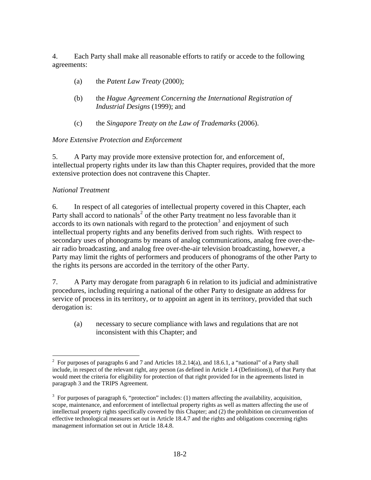4. Each Party shall make all reasonable efforts to ratify or accede to the following agreements:

- (a) the *Patent Law Treaty* (2000);
- (b) the *Hague Agreement Concerning the International Registration of Industrial Designs* (1999); and
- (c) the *Singapore Treaty on the Law of Trademarks* (2006).

## *More Extensive Protection and Enforcement*

5. A Party may provide more extensive protection for, and enforcement of, intellectual property rights under its law than this Chapter requires, provided that the more extensive protection does not contravene this Chapter.

## *National Treatment*

6. In respect of all categories of intellectual property covered in this Chapter, each Party shall accord to nationals<sup>[2](#page-1-0)</sup> of the other Party treatment no less favorable than it  $accords$  to its own nationals with regard to the protection<sup>[3](#page-1-1)</sup> and enjoyment of such intellectual property rights and any benefits derived from such rights. With respect to secondary uses of phonograms by means of analog communications, analog free over-theair radio broadcasting, and analog free over-the-air television broadcasting, however, a Party may limit the rights of performers and producers of phonograms of the other Party to the rights its persons are accorded in the territory of the other Party.

7. A Party may derogate from paragraph 6 in relation to its judicial and administrative procedures, including requiring a national of the other Party to designate an address for service of process in its territory, or to appoint an agent in its territory, provided that such derogation is:

(a) necessary to secure compliance with laws and regulations that are not inconsistent with this Chapter; and

<span id="page-1-0"></span> $\overline{a}$ <sup>2</sup> For purposes of paragraphs 6 and 7 and Articles 18.2.14(a), and 18.6.1, a "national" of a Party shall include, in respect of the relevant right, any person (as defined in Article 1.4 (Definitions)), of that Party that would meet the criteria for eligibility for protection of that right provided for in the agreements listed in paragraph 3 and the TRIPS Agreement.

<span id="page-1-1"></span> $3$  For purposes of paragraph 6, "protection" includes: (1) matters affecting the availability, acquisition, scope, maintenance, and enforcement of intellectual property rights as well as matters affecting the use of intellectual property rights specifically covered by this Chapter; and (2) the prohibition on circumvention of effective technological measures set out in Article 18.4.7 and the rights and obligations concerning rights management information set out in Article 18.4.8.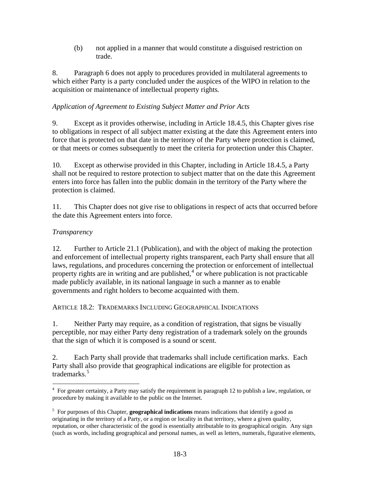(b) not applied in a manner that would constitute a disguised restriction on trade*.* 

8. Paragraph 6 does not apply to procedures provided in multilateral agreements to which either Party is a party concluded under the auspices of the WIPO in relation to the acquisition or maintenance of intellectual property rights*.* 

# *Application of Agreement to Existing Subject Matter and Prior Acts*

9. Except as it provides otherwise, including in Article 18.4.5, this Chapter gives rise to obligations in respect of all subject matter existing at the date this Agreement enters into force that is protected on that date in the territory of the Party where protection is claimed, or that meets or comes subsequently to meet the criteria for protection under this Chapter.

10. Except as otherwise provided in this Chapter, including in Article 18.4.5, a Party shall not be required to restore protection to subject matter that on the date this Agreement enters into force has fallen into the public domain in the territory of the Party where the protection is claimed.

11. This Chapter does not give rise to obligations in respect of acts that occurred before the date this Agreement enters into force.

# *Transparency*

12. Further to Article 21.1 (Publication), and with the object of making the protection and enforcement of intellectual property rights transparent, each Party shall ensure that all laws, regulations, and procedures concerning the protection or enforcement of intellectual property rights are in writing and are published, $4\overline{)}$  $4\overline{)}$  or where publication is not practicable made publicly available, in its national language in such a manner as to enable governments and right holders to become acquainted with them.

# ARTICLE 18.2: TRADEMARKS INCLUDING GEOGRAPHICAL INDICATIONS

1. Neither Party may require, as a condition of registration, that signs be visually perceptible, nor may either Party deny registration of a trademark solely on the grounds that the sign of which it is composed is a sound or scent.

2. Each Party shall provide that trademarks shall include certification marks. Each Party shall also provide that geographical indications are eligible for protection as trademarks.<sup>[5](#page-2-1)</sup>

<span id="page-2-0"></span> $\overline{a}$ <sup>4</sup> For greater certainty, a Party may satisfy the requirement in paragraph 12 to publish a law, regulation, or procedure by making it available to the public on the Internet.

<span id="page-2-1"></span><sup>5</sup> For purposes of this Chapter, **geographical indications** means indications that identify a good as originating in the territory of a Party, or a region or locality in that territory, where a given quality, reputation, or other characteristic of the good is essentially attributable to its geographical origin. Any sign (such as words, including geographical and personal names, as well as letters, numerals, figurative elements,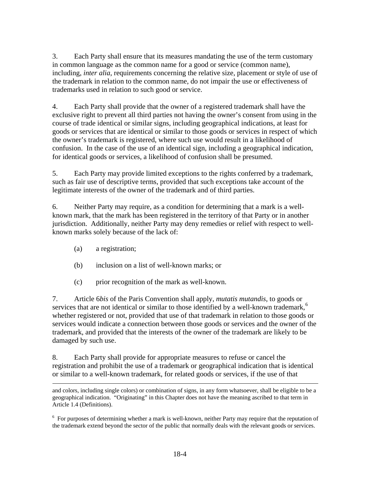3. Each Party shall ensure that its measures mandating the use of the term customary in common language as the common name for a good or service (common name), including, *inter alia*, requirements concerning the relative size, placement or style of use of the trademark in relation to the common name, do not impair the use or effectiveness of trademarks used in relation to such good or service.

4. Each Party shall provide that the owner of a registered trademark shall have the exclusive right to prevent all third parties not having the owner's consent from using in the course of trade identical or similar signs, including geographical indications, at least for goods or services that are identical or similar to those goods or services in respect of which the owner's trademark is registered, where such use would result in a likelihood of confusion. In the case of the use of an identical sign, including a geographical indication, for identical goods or services, a likelihood of confusion shall be presumed.

5. Each Party may provide limited exceptions to the rights conferred by a trademark, such as fair use of descriptive terms, provided that such exceptions take account of the legitimate interests of the owner of the trademark and of third parties.

6. Neither Party may require, as a condition for determining that a mark is a wellknown mark, that the mark has been registered in the territory of that Party or in another jurisdiction. Additionally, neither Party may deny remedies or relief with respect to wellknown marks solely because of the lack of:

- (a) a registration;
- (b) inclusion on a list of well-known marks; or
- (c) prior recognition of the mark as well-known.

7. Article 6*bis* of the Paris Convention shall apply, *mutatis mutandis*, to goods or services that are not identical or similar to those identified by a well-known trademark,<sup>[6](#page-3-0)</sup> whether registered or not, provided that use of that trademark in relation to those goods or services would indicate a connection between those goods or services and the owner of the trademark, and provided that the interests of the owner of the trademark are likely to be damaged by such use.

8. Each Party shall provide for appropriate measures to refuse or cancel the registration and prohibit the use of a trademark or geographical indication that is identical or similar to a well-known trademark, for related goods or services, if the use of that

<span id="page-3-0"></span><sup>6</sup> For purposes of determining whether a mark is well-known, neither Party may require that the reputation of the trademark extend beyond the sector of the public that normally deals with the relevant goods or services.

and colors, including single colors) or combination of signs, in any form whatsoever, shall be eligible to be a geographical indication. "Originating" in this Chapter does not have the meaning ascribed to that term in Article 1.4 (Definitions).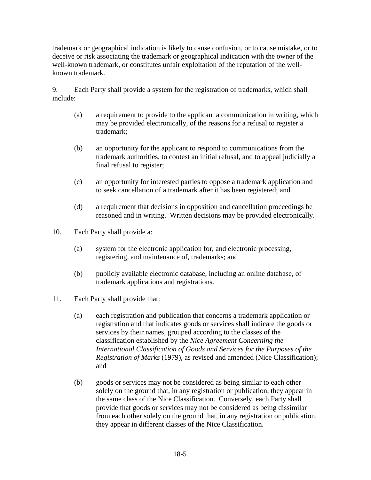trademark or geographical indication is likely to cause confusion, or to cause mistake, or to deceive or risk associating the trademark or geographical indication with the owner of the well-known trademark, or constitutes unfair exploitation of the reputation of the wellknown trademark.

9. Each Party shall provide a system for the registration of trademarks, which shall include:

- (a) a requirement to provide to the applicant a communication in writing, which may be provided electronically, of the reasons for a refusal to register a trademark;
- (b) an opportunity for the applicant to respond to communications from the trademark authorities, to contest an initial refusal, and to appeal judicially a final refusal to register;
- (c) an opportunity for interested parties to oppose a trademark application and to seek cancellation of a trademark after it has been registered; and
- (d) a requirement that decisions in opposition and cancellation proceedings be reasoned and in writing. Written decisions may be provided electronically.
- 10. Each Party shall provide a:
	- (a) system for the electronic application for, and electronic processing, registering, and maintenance of, trademarks; and
	- (b) publicly available electronic database, including an online database, of trademark applications and registrations.
- 11. Each Party shall provide that:
	- (a) each registration and publication that concerns a trademark application or registration and that indicates goods or services shall indicate the goods or services by their names, grouped according to the classes of the classification established by the *Nice Agreement Concerning the International Classification of Goods and Services for the Purposes of the Registration of Marks* (1979), as revised and amended (Nice Classification); and
	- (b) goods or services may not be considered as being similar to each other solely on the ground that, in any registration or publication, they appear in the same class of the Nice Classification. Conversely, each Party shall provide that goods or services may not be considered as being dissimilar from each other solely on the ground that, in any registration or publication, they appear in different classes of the Nice Classification.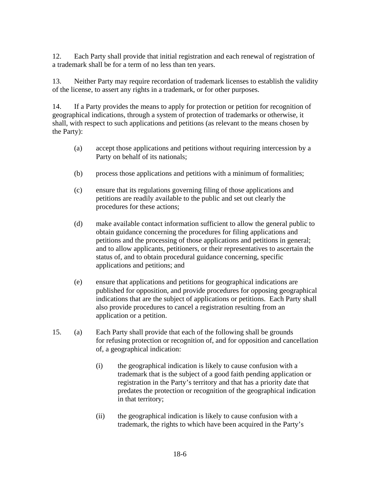12. Each Party shall provide that initial registration and each renewal of registration of a trademark shall be for a term of no less than ten years.

13. Neither Party may require recordation of trademark licenses to establish the validity of the license, to assert any rights in a trademark, or for other purposes.

14. If a Party provides the means to apply for protection or petition for recognition of geographical indications, through a system of protection of trademarks or otherwise, it shall, with respect to such applications and petitions (as relevant to the means chosen by the Party):

- (a) accept those applications and petitions without requiring intercession by a Party on behalf of its nationals;
- (b) process those applications and petitions with a minimum of formalities;
- (c) ensure that its regulations governing filing of those applications and petitions are readily available to the public and set out clearly the procedures for these actions;
- (d) make available contact information sufficient to allow the general public to obtain guidance concerning the procedures for filing applications and petitions and the processing of those applications and petitions in general; and to allow applicants, petitioners, or their representatives to ascertain the status of, and to obtain procedural guidance concerning, specific applications and petitions; and
- (e) ensure that applications and petitions for geographical indications are published for opposition, and provide procedures for opposing geographical indications that are the subject of applications or petitions. Each Party shall also provide procedures to cancel a registration resulting from an application or a petition.
- 15. (a) Each Party shall provide that each of the following shall be grounds for refusing protection or recognition of, and for opposition and cancellation of, a geographical indication:
	- (i) the geographical indication is likely to cause confusion with a trademark that is the subject of a good faith pending application or registration in the Party's territory and that has a priority date that predates the protection or recognition of the geographical indication in that territory;
	- (ii) the geographical indication is likely to cause confusion with a trademark, the rights to which have been acquired in the Party's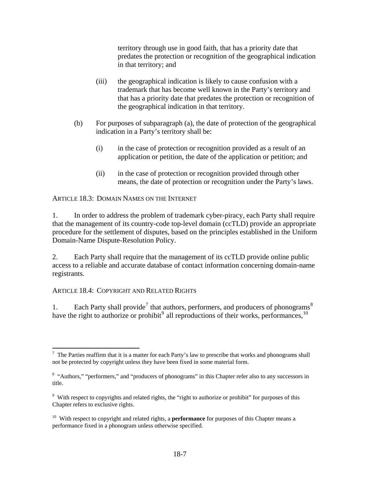territory through use in good faith, that has a priority date that predates the protection or recognition of the geographical indication in that territory; and

- (iii) the geographical indication is likely to cause confusion with a trademark that has become well known in the Party's territory and that has a priority date that predates the protection or recognition of the geographical indication in that territory.
- (b) For purposes of subparagraph (a), the date of protection of the geographical indication in a Party's territory shall be:
	- (i) in the case of protection or recognition provided as a result of an application or petition, the date of the application or petition; and
	- (ii) in the case of protection or recognition provided through other means, the date of protection or recognition under the Party's laws.

ARTICLE 18.3: DOMAIN NAMES ON THE INTERNET

1. In order to address the problem of trademark cyber-piracy, each Party shall require that the management of its country-code top-level domain (ccTLD) provide an appropriate procedure for the settlement of disputes, based on the principles established in the Uniform Domain-Name Dispute-Resolution Policy.

2. Each Party shall require that the management of its ccTLD provide online public access to a reliable and accurate database of contact information concerning domain-name registrants.

# ARTICLE 18.4: COPYRIGHT AND RELATED RIGHTS

1. Each Party shall provide<sup>[7](#page-6-0)</sup> that authors, performers, and producers of phonograms<sup>[8](#page-6-1)</sup> have the right to authorize or prohibit<sup>[9](#page-6-2)</sup> all reproductions of their works, performances,  $10$ 

<span id="page-6-0"></span><sup>&</sup>lt;sup>7</sup> The Parties reaffirm that it is a matter for each Party's law to prescribe that works and phonograms shall not be protected by copyright unless they have been fixed in some material form.

<span id="page-6-1"></span><sup>&</sup>lt;sup>8</sup> "Authors," "performers," and "producers of phonograms" in this Chapter refer also to any successors in title.

<span id="page-6-2"></span><sup>&</sup>lt;sup>9</sup> With respect to copyrights and related rights, the "right to authorize or prohibit" for purposes of this Chapter refers to exclusive rights.

<span id="page-6-3"></span><sup>10</sup> With respect to copyright and related rights, a **performance** for purposes of this Chapter means a performance fixed in a phonogram unless otherwise specified.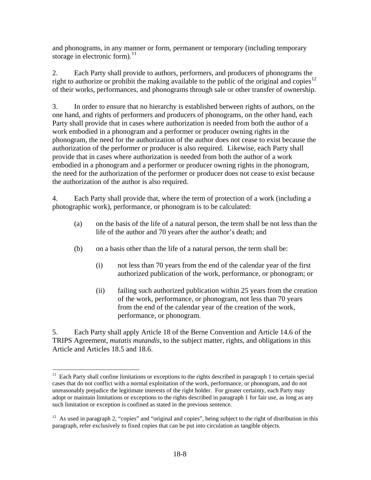and phonograms, in any manner or form, permanent or temporary (including temporary storage in electronic form). $^{11}$  $^{11}$  $^{11}$ 

2. Each Party shall provide to authors, performers, and producers of phonograms the right to authorize or prohibit the making available to the public of the original and copies<sup>[12](#page-7-1)</sup> of their works, performances, and phonograms through sale or other transfer of ownership.

3. In order to ensure that no hierarchy is established between rights of authors, on the one hand, and rights of performers and producers of phonograms, on the other hand, each Party shall provide that in cases where authorization is needed from both the author of a work embodied in a phonogram and a performer or producer owning rights in the phonogram, the need for the authorization of the author does not cease to exist because the authorization of the performer or producer is also required. Likewise, each Party shall provide that in cases where authorization is needed from both the author of a work embodied in a phonogram and a performer or producer owning rights in the phonogram, the need for the authorization of the performer or producer does not cease to exist because the authorization of the author is also required*.* 

4. Each Party shall provide that, where the term of protection of a work (including a photographic work), performance, or phonogram is to be calculated:

- (a) on the basis of the life of a natural person, the term shall be not less than the life of the author and 70 years after the author's death; and
- (b) on a basis other than the life of a natural person, the term shall be:
	- (i) not less than 70 years from the end of the calendar year of the first authorized publication of the work, performance, or phonogram; or
	- (ii) failing such authorized publication within 25 years from the creation of the work, performance, or phonogram, not less than 70 years from the end of the calendar year of the creation of the work, performance, or phonogram.

5. Each Party shall apply Article 18 of the Berne Convention and Article 14.6 of the TRIPS Agreement, *mutatis mutandis*, to the subject matter, rights, and obligations in this Article and Articles 18.5 and 18.6.

<span id="page-7-0"></span><sup>&</sup>lt;sup>11</sup> Each Party shall confine limitations or exceptions to the rights described in paragraph 1 to certain special cases that do not conflict with a normal exploitation of the work, performance, or phonogram, and do not unreasonably prejudice the legitimate interests of the right holder. For greater certainty, each Party may adopt or maintain limitations or exceptions to the rights described in paragraph 1 for fair use, as long as any such limitation or exception is confined as stated in the previous sentence.

<span id="page-7-1"></span><sup>&</sup>lt;sup>12</sup> As used in paragraph 2, "copies" and "original and copies", being subject to the right of distribution in this paragraph, refer exclusively to fixed copies that can be put into circulation as tangible objects.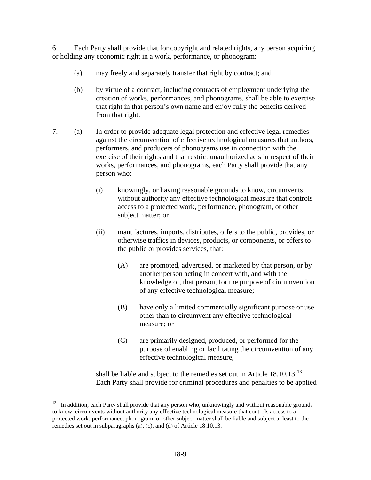6. Each Party shall provide that for copyright and related rights, any person acquiring or holding any economic right in a work, performance, or phonogram:

- (a) may freely and separately transfer that right by contract; and
- (b) by virtue of a contract, including contracts of employment underlying the creation of works, performances, and phonograms, shall be able to exercise that right in that person's own name and enjoy fully the benefits derived from that right.
- 7. (a) In order to provide adequate legal protection and effective legal remedies against the circumvention of effective technological measures that authors, performers, and producers of phonograms use in connection with the exercise of their rights and that restrict unauthorized acts in respect of their works, performances, and phonograms, each Party shall provide that any person who:
	- (i) knowingly, or having reasonable grounds to know, circumvents without authority any effective technological measure that controls access to a protected work, performance, phonogram, or other subject matter; or
	- (ii) manufactures, imports, distributes, offers to the public, provides, or otherwise traffics in devices, products, or components, or offers to the public or provides services, that:
		- (A) are promoted, advertised, or marketed by that person, or by another person acting in concert with, and with the knowledge of, that person, for the purpose of circumvention of any effective technological measure;
		- (B) have only a limited commercially significant purpose or use other than to circumvent any effective technological measure; or
		- (C) are primarily designed, produced, or performed for the purpose of enabling or facilitating the circumvention of any effective technological measure,

shall be liable and subject to the remedies set out in Article  $18.10.13^{13}$  $18.10.13^{13}$  $18.10.13^{13}$ Each Party shall provide for criminal procedures and penalties to be applied

<span id="page-8-0"></span>In addition, each Party shall provide that any person who, unknowingly and without reasonable grounds to know, circumvents without authority any effective technological measure that controls access to a protected work, performance, phonogram, or other subject matter shall be liable and subject at least to the remedies set out in subparagraphs (a), (c), and (d) of Article 18.10.13.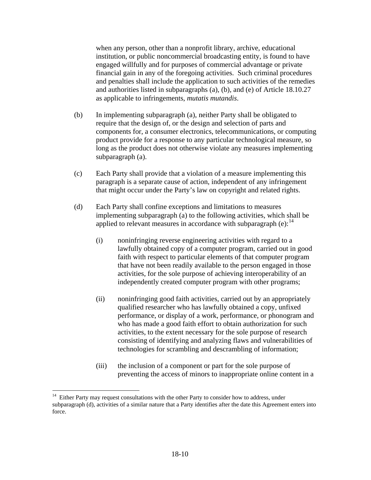when any person, other than a nonprofit library, archive, educational institution, or public noncommercial broadcasting entity, is found to have engaged willfully and for purposes of commercial advantage or private financial gain in any of the foregoing activities. Such criminal procedures and penalties shall include the application to such activities of the remedies and authorities listed in subparagraphs (a), (b), and (e) of Article 18.10.27 as applicable to infringements, *mutatis mutandis*.

- (b) In implementing subparagraph (a), neither Party shall be obligated to require that the design of, or the design and selection of parts and components for, a consumer electronics, telecommunications, or computing product provide for a response to any particular technological measure, so long as the product does not otherwise violate any measures implementing subparagraph (a).
- (c) Each Party shall provide that a violation of a measure implementing this paragraph is a separate cause of action, independent of any infringement that might occur under the Party's law on copyright and related rights.
- (d) Each Party shall confine exceptions and limitations to measures implementing subparagraph (a) to the following activities, which shall be applied to relevant measures in accordance with subparagraph  $(e)$ :<sup>[14](#page-9-0)</sup>
	- (i) noninfringing reverse engineering activities with regard to a lawfully obtained copy of a computer program, carried out in good faith with respect to particular elements of that computer program that have not been readily available to the person engaged in those activities, for the sole purpose of achieving interoperability of an independently created computer program with other programs;
	- (ii) noninfringing good faith activities, carried out by an appropriately qualified researcher who has lawfully obtained a copy, unfixed performance, or display of a work, performance, or phonogram and who has made a good faith effort to obtain authorization for such activities, to the extent necessary for the sole purpose of research consisting of identifying and analyzing flaws and vulnerabilities of technologies for scrambling and descrambling of information;
	- (iii) the inclusion of a component or part for the sole purpose of preventing the access of minors to inappropriate online content in a

<span id="page-9-0"></span><sup>&</sup>lt;sup>14</sup> Either Party may request consultations with the other Party to consider how to address, under subparagraph (d), activities of a similar nature that a Party identifies after the date this Agreement enters into force.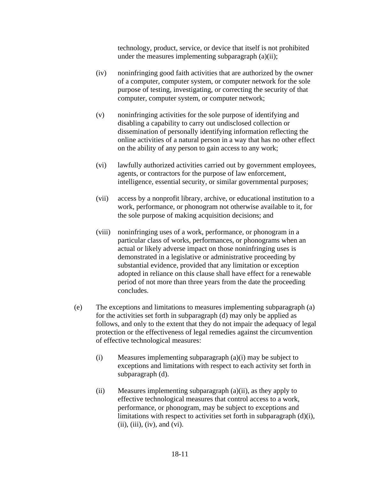technology, product, service, or device that itself is not prohibited under the measures implementing subparagraph (a)(ii);

- (iv) noninfringing good faith activities that are authorized by the owner of a computer, computer system, or computer network for the sole purpose of testing, investigating, or correcting the security of that computer, computer system, or computer network;
- (v) noninfringing activities for the sole purpose of identifying and disabling a capability to carry out undisclosed collection or dissemination of personally identifying information reflecting the online activities of a natural person in a way that has no other effect on the ability of any person to gain access to any work;
- (vi) lawfully authorized activities carried out by government employees, agents, or contractors for the purpose of law enforcement, intelligence, essential security, or similar governmental purposes;
- (vii) access by a nonprofit library, archive, or educational institution to a work, performance, or phonogram not otherwise available to it, for the sole purpose of making acquisition decisions; and
- (viii) noninfringing uses of a work, performance, or phonogram in a particular class of works, performances, or phonograms when an actual or likely adverse impact on those noninfringing uses is demonstrated in a legislative or administrative proceeding by substantial evidence, provided that any limitation or exception adopted in reliance on this clause shall have effect for a renewable period of not more than three years from the date the proceeding concludes.
- (e) The exceptions and limitations to measures implementing subparagraph (a) for the activities set forth in subparagraph (d) may only be applied as follows, and only to the extent that they do not impair the adequacy of legal protection or the effectiveness of legal remedies against the circumvention of effective technological measures:
	- (i) Measures implementing subparagraph (a)(i) may be subject to exceptions and limitations with respect to each activity set forth in subparagraph (d).
	- (ii) Measures implementing subparagraph (a)(ii), as they apply to effective technological measures that control access to a work, performance, or phonogram, may be subject to exceptions and limitations with respect to activities set forth in subparagraph (d)(i),  $(ii), (iii), (iv), and (vi).$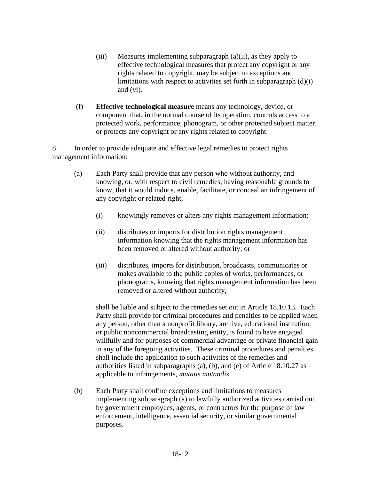- (iii) Measures implementing subparagraph (a)(ii), as they apply to effective technological measures that protect any copyright or any rights related to copyright, may be subject to exceptions and limitations with respect to activities set forth in subparagraph  $(d)(i)$ and (vi).
- (f) **Effective technological measure** means any technology, device, or component that, in the normal course of its operation, controls access to a protected work, performance, phonogram, or other protected subject matter, or protects any copyright or any rights related to copyright.

8. In order to provide adequate and effective legal remedies to protect rights management information:

- (a) Each Party shall provide that any person who without authority, and knowing, or, with respect to civil remedies, having reasonable grounds to know, that it would induce, enable, facilitate, or conceal an infringement of any copyright or related right,
	- (i) knowingly removes or alters any rights management information;
	- (ii) distributes or imports for distribution rights management information knowing that the rights management information has been removed or altered without authority; or
	- (iii) distributes, imports for distribution, broadcasts, communicates or makes available to the public copies of works, performances, or phonograms, knowing that rights management information has been removed or altered without authority,

shall be liable and subject to the remedies set out in Article 18.10.13. Each Party shall provide for criminal procedures and penalties to be applied when any person, other than a nonprofit library, archive, educational institution, or public noncommercial broadcasting entity, is found to have engaged willfully and for purposes of commercial advantage or private financial gain in any of the foregoing activities. These criminal procedures and penalties shall include the application to such activities of the remedies and authorities listed in subparagraphs (a), (b), and (e) of Article 18.10.27 as applicable to infringements, *mutatis mutandis*.

(b) Each Party shall confine exceptions and limitations to measures implementing subparagraph (a) to lawfully authorized activities carried out by government employees, agents, or contractors for the purpose of law enforcement, intelligence, essential security, or similar governmental purposes.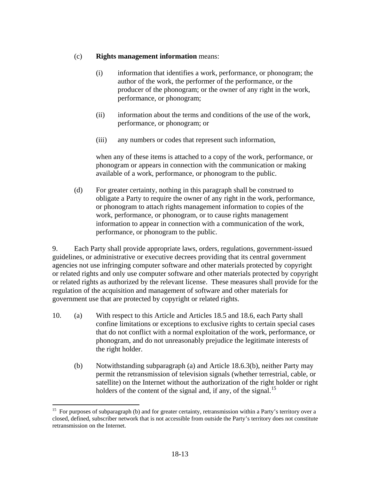### (c) **Rights management information** means:

- (i) information that identifies a work, performance, or phonogram; the author of the work, the performer of the performance, or the producer of the phonogram; or the owner of any right in the work, performance, or phonogram;
- (ii) information about the terms and conditions of the use of the work, performance, or phonogram; or
- (iii) any numbers or codes that represent such information,

when any of these items is attached to a copy of the work, performance, or phonogram or appears in connection with the communication or making available of a work, performance, or phonogram to the public.

(d) For greater certainty, nothing in this paragraph shall be construed to obligate a Party to require the owner of any right in the work, performance, or phonogram to attach rights management information to copies of the work, performance, or phonogram, or to cause rights management information to appear in connection with a communication of the work, performance, or phonogram to the public.

9. Each Party shall provide appropriate laws, orders, regulations, government-issued guidelines, or administrative or executive decrees providing that its central government agencies not use infringing computer software and other materials protected by copyright or related rights and only use computer software and other materials protected by copyright or related rights as authorized by the relevant license. These measures shall provide for the regulation of the acquisition and management of software and other materials for government use that are protected by copyright or related rights.

- 10. (a) With respect to this Article and Articles 18.5 and 18.6, each Party shall confine limitations or exceptions to exclusive rights to certain special cases that do not conflict with a normal exploitation of the work, performance, or phonogram, and do not unreasonably prejudice the legitimate interests of the right holder.
	- (b) Notwithstanding subparagraph (a) and Article 18.6.3(b), neither Party may permit the retransmission of television signals (whether terrestrial, cable, or satellite) on the Internet without the authorization of the right holder or right holders of the content of the signal and, if any, of the signal.<sup>[15](#page-12-0)</sup>

<span id="page-12-0"></span><sup>&</sup>lt;sup>15</sup> For purposes of subparagraph (b) and for greater certainty, retransmission within a Party's territory over a closed, defined, subscriber network that is not accessible from outside the Party's territory does not constitute retransmission on the Internet.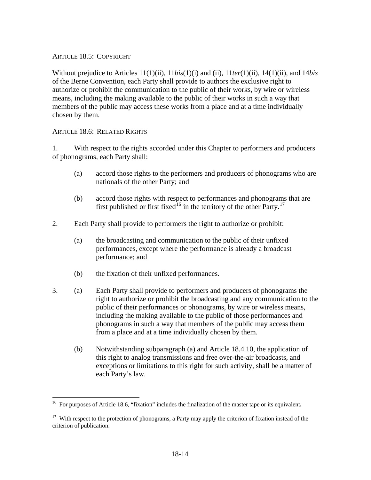#### ARTICLE 18.5: COPYRIGHT

Without prejudice to Articles 11(1)(ii), 11*bis*(1)(i) and (ii), 11*ter*(1)(ii), 14(1)(ii), and 14*bis*  of the Berne Convention, each Party shall provide to authors the exclusive right to authorize or prohibit the communication to the public of their works, by wire or wireless means, including the making available to the public of their works in such a way that members of the public may access these works from a place and at a time individually chosen by them.

#### ARTICLE 18.6: RELATED RIGHTS

 $\overline{a}$ 

1. With respect to the rights accorded under this Chapter to performers and producers of phonograms, each Party shall:

- (a) accord those rights to the performers and producers of phonograms who are nationals of the other Party; and
- (b) accord those rights with respect to performances and phonograms that are first published or first fixed<sup>[16](#page-13-0)</sup> in the territory of the other Party.<sup>[17](#page-13-1)</sup>
- 2. Each Party shall provide to performers the right to authorize or prohibit:
	- (a) the broadcasting and communication to the public of their unfixed performances, except where the performance is already a broadcast performance; and
	- (b) the fixation of their unfixed performances.
- 3. (a) Each Party shall provide to performers and producers of phonograms the right to authorize or prohibit the broadcasting and any communication to the public of their performances or phonograms, by wire or wireless means, including the making available to the public of those performances and phonograms in such a way that members of the public may access them from a place and at a time individually chosen by them.
	- (b) Notwithstanding subparagraph (a) and Article 18.4.10, the application of this right to analog transmissions and free over-the-air broadcasts, and exceptions or limitations to this right for such activity, shall be a matter of each Party's law.

<span id="page-13-0"></span><sup>16</sup> For purposes of Article 18.6, "fixation" includes the finalization of the master tape or its equivalent**.** 

<span id="page-13-1"></span><sup>&</sup>lt;sup>17</sup> With respect to the protection of phonograms, a Party may apply the criterion of fixation instead of the criterion of publication.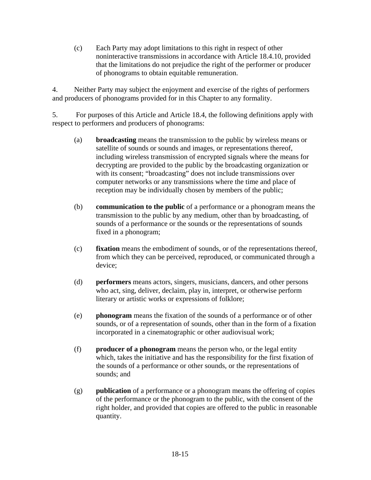(c) Each Party may adopt limitations to this right in respect of other noninteractive transmissions in accordance with Article 18.4.10, provided that the limitations do not prejudice the right of the performer or producer of phonograms to obtain equitable remuneration.

4. Neither Party may subject the enjoyment and exercise of the rights of performers and producers of phonograms provided for in this Chapter to any formality.

5. For purposes of this Article and Article 18.4, the following definitions apply with respect to performers and producers of phonograms:

- (a) **broadcasting** means the transmission to the public by wireless means or satellite of sounds or sounds and images, or representations thereof, including wireless transmission of encrypted signals where the means for decrypting are provided to the public by the broadcasting organization or with its consent; "broadcasting" does not include transmissions over computer networks or any transmissions where the time and place of reception may be individually chosen by members of the public;
- (b) **communication to the public** of a performance or a phonogram means the transmission to the public by any medium, other than by broadcasting, of sounds of a performance or the sounds or the representations of sounds fixed in a phonogram;
- (c) **fixation** means the embodiment of sounds, or of the representations thereof, from which they can be perceived, reproduced, or communicated through a device;
- (d) **performers** means actors, singers, musicians, dancers, and other persons who act, sing, deliver, declaim, play in, interpret, or otherwise perform literary or artistic works or expressions of folklore;
- (e) **phonogram** means the fixation of the sounds of a performance or of other sounds, or of a representation of sounds, other than in the form of a fixation incorporated in a cinematographic or other audiovisual work;
- (f) **producer of a phonogram** means the person who, or the legal entity which, takes the initiative and has the responsibility for the first fixation of the sounds of a performance or other sounds, or the representations of sounds; and
- (g) **publication** of a performance or a phonogram means the offering of copies of the performance or the phonogram to the public, with the consent of the right holder, and provided that copies are offered to the public in reasonable quantity.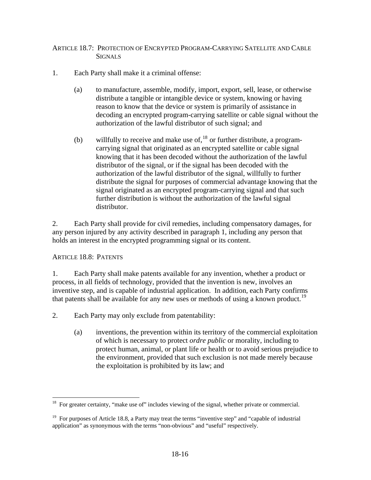### ARTICLE 18.7: PROTECTION OF ENCRYPTED PROGRAM-CARRYING SATELLITE AND CABLE SIGNALS

- 1. Each Party shall make it a criminal offense:
	- (a) to manufacture, assemble, modify, import, export, sell, lease, or otherwise distribute a tangible or intangible device or system, knowing or having reason to know that the device or system is primarily of assistance in decoding an encrypted program-carrying satellite or cable signal without the authorization of the lawful distributor of such signal; and
	- (b) willfully to receive and make use of,  $^{18}$  $^{18}$  $^{18}$  or further distribute, a programcarrying signal that originated as an encrypted satellite or cable signal knowing that it has been decoded without the authorization of the lawful distributor of the signal, or if the signal has been decoded with the authorization of the lawful distributor of the signal, willfully to further distribute the signal for purposes of commercial advantage knowing that the signal originated as an encrypted program-carrying signal and that such further distribution is without the authorization of the lawful signal distributor.

2. Each Party shall provide for civil remedies, including compensatory damages, for any person injured by any activity described in paragraph 1, including any person that holds an interest in the encrypted programming signal or its content.

### ARTICLE 18.8: PATENTS

 $\overline{a}$ 

1. Each Party shall make patents available for any invention, whether a product or process, in all fields of technology, provided that the invention is new, involves an inventive step, and is capable of industrial application. In addition, each Party confirms that patents shall be available for any new uses or methods of using a known product.<sup>19</sup>

2. Each Party may only exclude from patentability:

(a) inventions, the prevention within its territory of the commercial exploitation of which is necessary to protect *ordre public* or morality, including to protect human, animal, or plant life or health or to avoid serious prejudice to the environment, provided that such exclusion is not made merely because the exploitation is prohibited by its law; and

<span id="page-15-0"></span><sup>18</sup> For greater certainty, "make use of" includes viewing of the signal, whether private or commercial.

<span id="page-15-1"></span><sup>&</sup>lt;sup>19</sup> For purposes of Article 18.8, a Party may treat the terms "inventive step" and "capable of industrial" application" as synonymous with the terms "non-obvious" and "useful" respectively.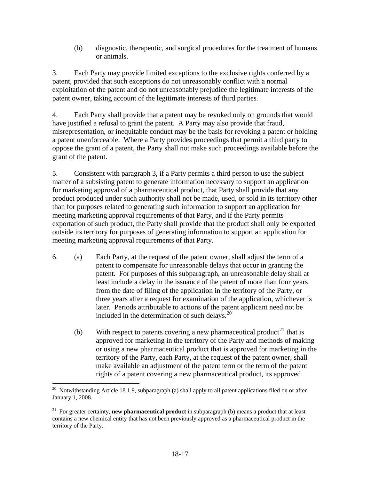(b) diagnostic, therapeutic, and surgical procedures for the treatment of humans or animals.

3. Each Party may provide limited exceptions to the exclusive rights conferred by a patent, provided that such exceptions do not unreasonably conflict with a normal exploitation of the patent and do not unreasonably prejudice the legitimate interests of the patent owner, taking account of the legitimate interests of third parties.

4. Each Party shall provide that a patent may be revoked only on grounds that would have justified a refusal to grant the patent. A Party may also provide that fraud, misrepresentation, or inequitable conduct may be the basis for revoking a patent or holding a patent unenforceable. Where a Party provides proceedings that permit a third party to oppose the grant of a patent, the Party shall not make such proceedings available before the grant of the patent.

5. Consistent with paragraph 3, if a Party permits a third person to use the subject matter of a subsisting patent to generate information necessary to support an application for marketing approval of a pharmaceutical product, that Party shall provide that any product produced under such authority shall not be made, used, or sold in its territory other than for purposes related to generating such information to support an application for meeting marketing approval requirements of that Party, and if the Party permits exportation of such product, the Party shall provide that the product shall only be exported outside its territory for purposes of generating information to support an application for meeting marketing approval requirements of that Party.

- 6. (a) Each Party, at the request of the patent owner, shall adjust the term of a patent to compensate for unreasonable delays that occur in granting the patent. For purposes of this subparagraph, an unreasonable delay shall at least include a delay in the issuance of the patent of more than four years from the date of filing of the application in the territory of the Party, or three years after a request for examination of the application, whichever is later. Periods attributable to actions of the patent applicant need not be included in the determination of such delays.[20](#page-16-0)
	- (b) With respect to patents covering a new pharmaceutical product<sup>21</sup> that is approved for marketing in the territory of the Party and methods of making or using a new pharmaceutical product that is approved for marketing in the territory of the Party, each Party, at the request of the patent owner, shall make available an adjustment of the patent term or the term of the patent rights of a patent covering a new pharmaceutical product, its approved

<span id="page-16-0"></span><sup>&</sup>lt;sup>20</sup> Notwithstanding Article 18.1.9, subparagraph (a) shall apply to all patent applications filed on or after January 1, 2008.

<span id="page-16-1"></span><sup>&</sup>lt;sup>21</sup> For greater certainty, **new pharmaceutical product** in subparagraph (b) means a product that at least contains a new chemical entity that has not been previously approved as a pharmaceutical product in the territory of the Party.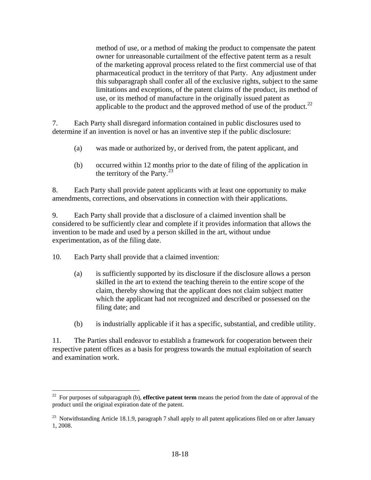method of use, or a method of making the product to compensate the patent owner for unreasonable curtailment of the effective patent term as a result of the marketing approval process related to the first commercial use of that pharmaceutical product in the territory of that Party. Any adjustment under this subparagraph shall confer all of the exclusive rights, subject to the same limitations and exceptions, of the patent claims of the product, its method of use, or its method of manufacture in the originally issued patent as applicable to the product and the approved method of use of the product. $^{22}$  $^{22}$  $^{22}$ 

7. Each Party shall disregard information contained in public disclosures used to determine if an invention is novel or has an inventive step if the public disclosure:

- (a) was made or authorized by, or derived from, the patent applicant, and
- (b) occurred within 12 months prior to the date of filing of the application in the territory of the Party. $^{23}$  $^{23}$  $^{23}$

8. Each Party shall provide patent applicants with at least one opportunity to make amendments, corrections, and observations in connection with their applications.

9. Each Party shall provide that a disclosure of a claimed invention shall be considered to be sufficiently clear and complete if it provides information that allows the invention to be made and used by a person skilled in the art, without undue experimentation, as of the filing date.

10. Each Party shall provide that a claimed invention:

 $\overline{a}$ 

- (a) is sufficiently supported by its disclosure if the disclosure allows a person skilled in the art to extend the teaching therein to the entire scope of the claim, thereby showing that the applicant does not claim subject matter which the applicant had not recognized and described or possessed on the filing date; and
- (b) is industrially applicable if it has a specific, substantial, and credible utility.

11. The Parties shall endeavor to establish a framework for cooperation between their respective patent offices as a basis for progress towards the mutual exploitation of search and examination work.

<span id="page-17-0"></span><sup>&</sup>lt;sup>22</sup> For purposes of subparagraph (b), **effective patent term** means the period from the date of approval of the product until the original expiration date of the patent.

<span id="page-17-1"></span><sup>&</sup>lt;sup>23</sup> Notwithstanding Article 18.1.9, paragraph 7 shall apply to all patent applications filed on or after January 1, 2008.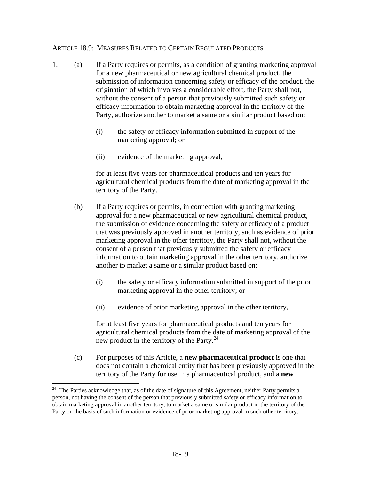#### ARTICLE 18.9: MEASURES RELATED TO CERTAIN REGULATED PRODUCTS

- 1. (a) If a Party requires or permits, as a condition of granting marketing approval for a new pharmaceutical or new agricultural chemical product, the submission of information concerning safety or efficacy of the product, the origination of which involves a considerable effort, the Party shall not, without the consent of a person that previously submitted such safety or efficacy information to obtain marketing approval in the territory of the Party, authorize another to market a same or a similar product based on:
	- (i) the safety or efficacy information submitted in support of the marketing approval; or
	- (ii) evidence of the marketing approval,

for at least five years for pharmaceutical products and ten years for agricultural chemical products from the date of marketing approval in the territory of the Party.

- (b) If a Party requires or permits, in connection with granting marketing approval for a new pharmaceutical or new agricultural chemical product, the submission of evidence concerning the safety or efficacy of a product that was previously approved in another territory, such as evidence of prior marketing approval in the other territory, the Party shall not, without the consent of a person that previously submitted the safety or efficacy information to obtain marketing approval in the other territory, authorize another to market a same or a similar product based on:
	- (i) the safety or efficacy information submitted in support of the prior marketing approval in the other territory; or
	- (ii) evidence of prior marketing approval in the other territory,

for at least five years for pharmaceutical products and ten years for agricultural chemical products from the date of marketing approval of the new product in the territory of the Party.[24](#page-18-0)

(c) For purposes of this Article, a **new pharmaceutical product** is one that does not contain a chemical entity that has been previously approved in the territory of the Party for use in a pharmaceutical product, and a **new** 

<span id="page-18-0"></span><sup>&</sup>lt;sup>24</sup> The Parties acknowledge that, as of the date of signature of this Agreement, neither Party permits a person, not having the consent of the person that previously submitted safety or efficacy information to obtain marketing approval in another territory, to market a same or similar product in the territory of the Party on the basis of such information or evidence of prior marketing approval in such other territory.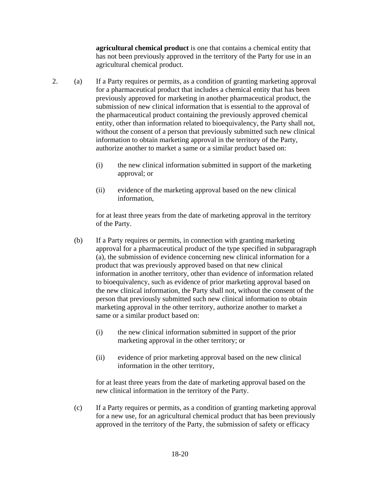**agricultural chemical product** is one that contains a chemical entity that has not been previously approved in the territory of the Party for use in an agricultural chemical product.

- 2. (a) If a Party requires or permits, as a condition of granting marketing approval for a pharmaceutical product that includes a chemical entity that has been previously approved for marketing in another pharmaceutical product, the submission of new clinical information that is essential to the approval of the pharmaceutical product containing the previously approved chemical entity, other than information related to bioequivalency, the Party shall not, without the consent of a person that previously submitted such new clinical information to obtain marketing approval in the territory of the Party, authorize another to market a same or a similar product based on:
	- (i) the new clinical information submitted in support of the marketing approval; or
	- (ii) evidence of the marketing approval based on the new clinical information,

for at least three years from the date of marketing approval in the territory of the Party.

- (b) If a Party requires or permits, in connection with granting marketing approval for a pharmaceutical product of the type specified in subparagraph (a), the submission of evidence concerning new clinical information for a product that was previously approved based on that new clinical information in another territory, other than evidence of information related to bioequivalency, such as evidence of prior marketing approval based on the new clinical information, the Party shall not, without the consent of the person that previously submitted such new clinical information to obtain marketing approval in the other territory, authorize another to market a same or a similar product based on:
	- (i) the new clinical information submitted in support of the prior marketing approval in the other territory; or
	- (ii) evidence of prior marketing approval based on the new clinical information in the other territory,

for at least three years from the date of marketing approval based on the new clinical information in the territory of the Party.

(c) If a Party requires or permits, as a condition of granting marketing approval for a new use, for an agricultural chemical product that has been previously approved in the territory of the Party, the submission of safety or efficacy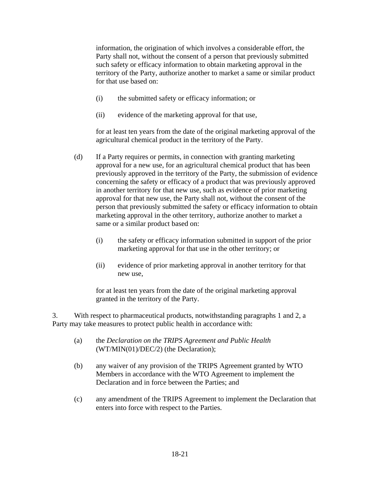information, the origination of which involves a considerable effort, the Party shall not, without the consent of a person that previously submitted such safety or efficacy information to obtain marketing approval in the territory of the Party, authorize another to market a same or similar product for that use based on:

- (i) the submitted safety or efficacy information; or
- (ii) evidence of the marketing approval for that use,

for at least ten years from the date of the original marketing approval of the agricultural chemical product in the territory of the Party.

- (d) If a Party requires or permits, in connection with granting marketing approval for a new use, for an agricultural chemical product that has been previously approved in the territory of the Party, the submission of evidence concerning the safety or efficacy of a product that was previously approved in another territory for that new use, such as evidence of prior marketing approval for that new use, the Party shall not, without the consent of the person that previously submitted the safety or efficacy information to obtain marketing approval in the other territory, authorize another to market a same or a similar product based on:
	- (i) the safety or efficacy information submitted in support of the prior marketing approval for that use in the other territory; or
	- (ii) evidence of prior marketing approval in another territory for that new use,

for at least ten years from the date of the original marketing approval granted in the territory of the Party.

3. With respect to pharmaceutical products, notwithstanding paragraphs 1 and 2, a Party may take measures to protect public health in accordance with:

- (a) the *Declaration on the TRIPS Agreement and Public Health* (WT/MIN(01)/DEC/2) (the Declaration);
- (b) any waiver of any provision of the TRIPS Agreement granted by WTO Members in accordance with the WTO Agreement to implement the Declaration and in force between the Parties; and
- (c) any amendment of the TRIPS Agreement to implement the Declaration that enters into force with respect to the Parties.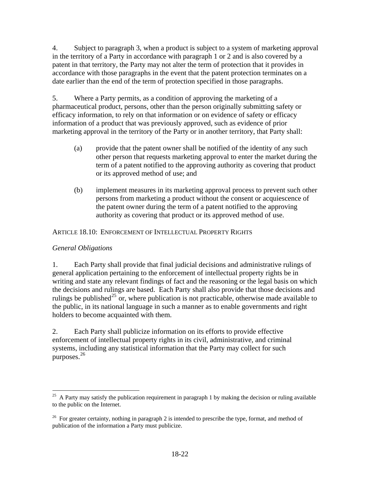4. Subject to paragraph 3, when a product is subject to a system of marketing approval in the territory of a Party in accordance with paragraph 1 or 2 and is also covered by a patent in that territory, the Party may not alter the term of protection that it provides in accordance with those paragraphs in the event that the patent protection terminates on a date earlier than the end of the term of protection specified in those paragraphs.

5. Where a Party permits, as a condition of approving the marketing of a pharmaceutical product, persons, other than the person originally submitting safety or efficacy information, to rely on that information or on evidence of safety or efficacy information of a product that was previously approved, such as evidence of prior marketing approval in the territory of the Party or in another territory, that Party shall:

- (a) provide that the patent owner shall be notified of the identity of any such other person that requests marketing approval to enter the market during the term of a patent notified to the approving authority as covering that product or its approved method of use; and
- (b) implement measures in its marketing approval process to prevent such other persons from marketing a product without the consent or acquiescence of the patent owner during the term of a patent notified to the approving authority as covering that product or its approved method of use.

## ARTICLE 18.10: ENFORCEMENT OF INTELLECTUAL PROPERTY RIGHTS

### *General Obligations*

 $\overline{a}$ 

1. Each Party shall provide that final judicial decisions and administrative rulings of general application pertaining to the enforcement of intellectual property rights be in writing and state any relevant findings of fact and the reasoning or the legal basis on which the decisions and rulings are based. Each Party shall also provide that those decisions and rulings be published<sup>[25](#page-21-0)</sup> or, where publication is not practicable, otherwise made available to the public, in its national language in such a manner as to enable governments and right holders to become acquainted with them.

2. Each Party shall publicize information on its efforts to provide effective enforcement of intellectual property rights in its civil, administrative, and criminal systems, including any statistical information that the Party may collect for such purposes. $^{26}$  $^{26}$  $^{26}$ 

<span id="page-21-0"></span><sup>&</sup>lt;sup>25</sup> A Party may satisfy the publication requirement in paragraph 1 by making the decision or ruling available to the public on the Internet.

<span id="page-21-1"></span><sup>&</sup>lt;sup>26</sup> For greater certainty, nothing in paragraph 2 is intended to prescribe the type, format, and method of publication of the information a Party must publicize.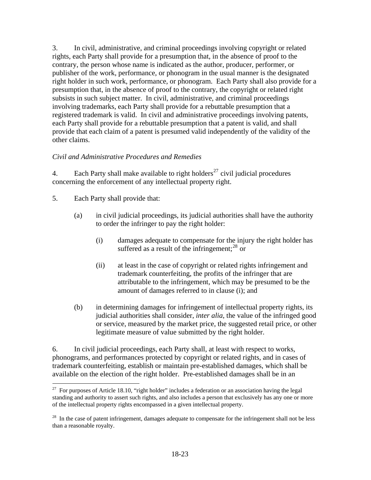3. In civil, administrative, and criminal proceedings involving copyright or related rights, each Party shall provide for a presumption that, in the absence of proof to the contrary, the person whose name is indicated as the author, producer, performer, or publisher of the work, performance, or phonogram in the usual manner is the designated right holder in such work, performance, or phonogram. Each Party shall also provide for a presumption that, in the absence of proof to the contrary, the copyright or related right subsists in such subject matter. In civil, administrative, and criminal proceedings involving trademarks, each Party shall provide for a rebuttable presumption that a registered trademark is valid. In civil and administrative proceedings involving patents, each Party shall provide for a rebuttable presumption that a patent is valid, and shall provide that each claim of a patent is presumed valid independently of the validity of the other claims.

### *Civil and Administrative Procedures and Remedies*

4. Each Party shall make available to right holders<sup>[27](#page-22-0)</sup> civil judicial procedures concerning the enforcement of any intellectual property right.

5. Each Party shall provide that:

 $\overline{a}$ 

- (a) in civil judicial proceedings, its judicial authorities shall have the authority to order the infringer to pay the right holder:
	- (i) damages adequate to compensate for the injury the right holder has suffered as a result of the infringement;<sup>[28](#page-22-1)</sup> or
	- (ii) at least in the case of copyright or related rights infringement and trademark counterfeiting, the profits of the infringer that are attributable to the infringement, which may be presumed to be the amount of damages referred to in clause (i); and
- (b) in determining damages for infringement of intellectual property rights, its judicial authorities shall consider, *inter alia*, the value of the infringed good or service, measured by the market price, the suggested retail price, or other legitimate measure of value submitted by the right holder.

6. In civil judicial proceedings, each Party shall, at least with respect to works, phonograms, and performances protected by copyright or related rights, and in cases of trademark counterfeiting, establish or maintain pre-established damages, which shall be available on the election of the right holder. Pre-established damages shall be in an

<span id="page-22-0"></span> $27$  For purposes of Article 18.10, "right holder" includes a federation or an association having the legal standing and authority to assert such rights, and also includes a person that exclusively has any one or more of the intellectual property rights encompassed in a given intellectual property.

<span id="page-22-1"></span><sup>&</sup>lt;sup>28</sup> In the case of patent infringement, damages adequate to compensate for the infringement shall not be less than a reasonable royalty.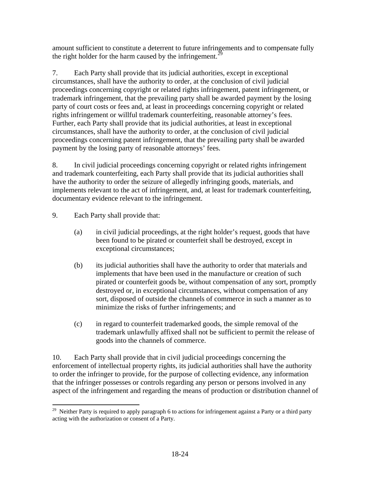amount sufficient to constitute a deterrent to future infringements and to compensate fully the right holder for the harm caused by the infringement.<sup>[29](#page-23-0)</sup>

7. Each Party shall provide that its judicial authorities, except in exceptional circumstances, shall have the authority to order, at the conclusion of civil judicial proceedings concerning copyright or related rights infringement, patent infringement, or trademark infringement, that the prevailing party shall be awarded payment by the losing party of court costs or fees and, at least in proceedings concerning copyright or related rights infringement or willful trademark counterfeiting, reasonable attorney's fees. Further, each Party shall provide that its judicial authorities, at least in exceptional circumstances, shall have the authority to order, at the conclusion of civil judicial proceedings concerning patent infringement, that the prevailing party shall be awarded payment by the losing party of reasonable attorneys' fees.

8. In civil judicial proceedings concerning copyright or related rights infringement and trademark counterfeiting, each Party shall provide that its judicial authorities shall have the authority to order the seizure of allegedly infringing goods, materials, and implements relevant to the act of infringement, and, at least for trademark counterfeiting, documentary evidence relevant to the infringement.

9. Each Party shall provide that:

- (a) in civil judicial proceedings, at the right holder's request, goods that have been found to be pirated or counterfeit shall be destroyed, except in exceptional circumstances;
- (b) its judicial authorities shall have the authority to order that materials and implements that have been used in the manufacture or creation of such pirated or counterfeit goods be, without compensation of any sort, promptly destroyed or, in exceptional circumstances, without compensation of any sort, disposed of outside the channels of commerce in such a manner as to minimize the risks of further infringements; and
- (c) in regard to counterfeit trademarked goods, the simple removal of the trademark unlawfully affixed shall not be sufficient to permit the release of goods into the channels of commerce.

10. Each Party shall provide that in civil judicial proceedings concerning the enforcement of intellectual property rights, its judicial authorities shall have the authority to order the infringer to provide, for the purpose of collecting evidence, any information that the infringer possesses or controls regarding any person or persons involved in any aspect of the infringement and regarding the means of production or distribution channel of

<span id="page-23-0"></span> $\overline{a}$  $29$  Neither Party is required to apply paragraph 6 to actions for infringement against a Party or a third party acting with the authorization or consent of a Party.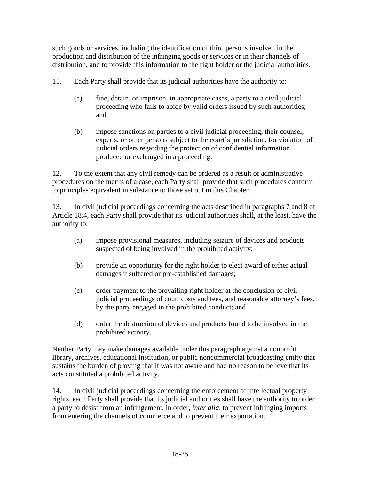such goods or services, including the identification of third persons involved in the production and distribution of the infringing goods or services or in their channels of distribution, and to provide this information to the right holder or the judicial authorities.

- 11. Each Party shall provide that its judicial authorities have the authority to:
	- (a) fine, detain, or imprison, in appropriate cases, a party to a civil judicial proceeding who fails to abide by valid orders issued by such authorities; and
	- (b) impose sanctions on parties to a civil judicial proceeding, their counsel, experts, or other persons subject to the court's jurisdiction, for violation of judicial orders regarding the protection of confidential information produced or exchanged in a proceeding.

12. To the extent that any civil remedy can be ordered as a result of administrative procedures on the merits of a case, each Party shall provide that such procedures conform to principles equivalent in substance to those set out in this Chapter.

13. In civil judicial proceedings concerning the acts described in paragraphs 7 and 8 of Article 18.4, each Party shall provide that its judicial authorities shall, at the least, have the authority to:

- (a) impose provisional measures, including seizure of devices and products suspected of being involved in the prohibited activity;
- (b) provide an opportunity for the right holder to elect award of either actual damages it suffered or pre-established damages;
- (c) order payment to the prevailing right holder at the conclusion of civil judicial proceedings of court costs and fees, and reasonable attorney's fees, by the party engaged in the prohibited conduct; and
- (d) order the destruction of devices and products found to be involved in the prohibited activity.

Neither Party may make damages available under this paragraph against a nonprofit library, archives, educational institution, or public noncommercial broadcasting entity that sustains the burden of proving that it was not aware and had no reason to believe that its acts constituted a prohibited activity.

14. In civil judicial proceedings concerning the enforcement of intellectual property rights, each Party shall provide that its judicial authorities shall have the authority to order a party to desist from an infringement, in order, *inter alia*, to prevent infringing imports from entering the channels of commerce and to prevent their exportation.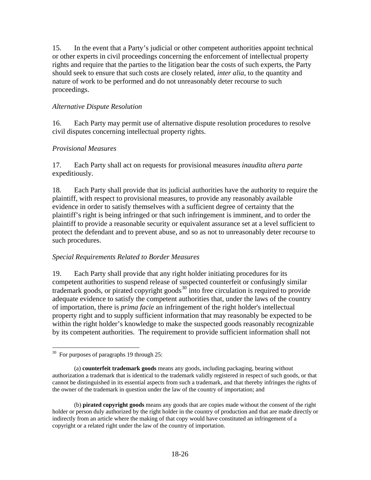15. In the event that a Party's judicial or other competent authorities appoint technical or other experts in civil proceedings concerning the enforcement of intellectual property rights and require that the parties to the litigation bear the costs of such experts, the Party should seek to ensure that such costs are closely related, *inter alia*, to the quantity and nature of work to be performed and do not unreasonably deter recourse to such proceedings.

### *Alternative Dispute Resolution*

16. Each Party may permit use of alternative dispute resolution procedures to resolve civil disputes concerning intellectual property rights.

## *Provisional Measures*

17. Each Party shall act on requests for provisional measures *inaudita altera parte* expeditiously.

18. Each Party shall provide that its judicial authorities have the authority to require the plaintiff, with respect to provisional measures, to provide any reasonably available evidence in order to satisfy themselves with a sufficient degree of certainty that the plaintiff's right is being infringed or that such infringement is imminent, and to order the plaintiff to provide a reasonable security or equivalent assurance set at a level sufficient to protect the defendant and to prevent abuse, and so as not to unreasonably deter recourse to such procedures.

### *Special Requirements Related to Border Measures*

19. Each Party shall provide that any right holder initiating procedures for its competent authorities to suspend release of suspected counterfeit or confusingly similar trademark goods, or pirated copyright goods<sup>[30](#page-25-0)</sup> into free circulation is required to provide adequate evidence to satisfy the competent authorities that, under the laws of the country of importation, there is *prima facie* an infringement of the right holder's intellectual property right and to supply sufficient information that may reasonably be expected to be within the right holder's knowledge to make the suspected goods reasonably recognizable by its competent authorities. The requirement to provide sufficient information shall not

<span id="page-25-0"></span> $\overline{a}$  $30$  For purposes of paragraphs 19 through 25:

<sup>(</sup>a) **counterfeit trademark goods** means any goods, including packaging, bearing without authorization a trademark that is identical to the trademark validly registered in respect of such goods, or that cannot be distinguished in its essential aspects from such a trademark, and that thereby infringes the rights of the owner of the trademark in question under the law of the country of importation; and

<sup>(</sup>b) **pirated copyright goods** means any goods that are copies made without the consent of the right holder or person duly authorized by the right holder in the country of production and that are made directly or indirectly from an article where the making of that copy would have constituted an infringement of a copyright or a related right under the law of the country of importation.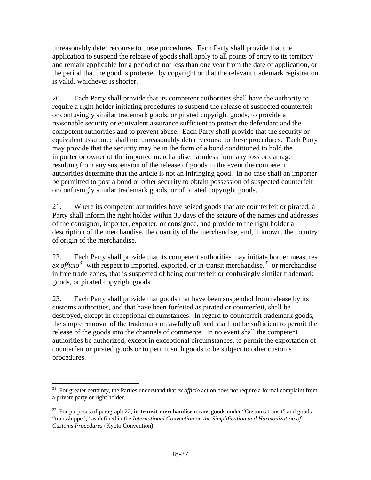unreasonably deter recourse to these procedures. Each Party shall provide that the application to suspend the release of goods shall apply to all points of entry to its territory and remain applicable for a period of not less than one year from the date of application, or the period that the good is protected by copyright or that the relevant trademark registration is valid, whichever is shorter.

20. Each Party shall provide that its competent authorities shall have the authority to require a right holder initiating procedures to suspend the release of suspected counterfeit or confusingly similar trademark goods, or pirated copyright goods, to provide a reasonable security or equivalent assurance sufficient to protect the defendant and the competent authorities and to prevent abuse. Each Party shall provide that the security or equivalent assurance shall not unreasonably deter recourse to these procedures. Each Party may provide that the security may be in the form of a bond conditioned to hold the importer or owner of the imported merchandise harmless from any loss or damage resulting from any suspension of the release of goods in the event the competent authorities determine that the article is not an infringing good. In no case shall an importer be permitted to post a bond or other security to obtain possession of suspected counterfeit or confusingly similar trademark goods, or of pirated copyright goods.

21. Where its competent authorities have seized goods that are counterfeit or pirated, a Party shall inform the right holder within 30 days of the seizure of the names and addresses of the consignor, importer, exporter, or consignee, and provide to the right holder a description of the merchandise, the quantity of the merchandise, and, if known, the country of origin of the merchandise.

22. Each Party shall provide that its competent authorities may initiate border measures *ex officio*<sup>[31](#page-26-0)</sup> with respect to imported, exported, or in-transit merchandise,<sup>[32](#page-26-1)</sup> or merchandise in free trade zones, that is suspected of being counterfeit or confusingly similar trademark goods, or pirated copyright goods.

23. Each Party shall provide that goods that have been suspended from release by its customs authorities, and that have been forfeited as pirated or counterfeit, shall be destroyed, except in exceptional circumstances. In regard to counterfeit trademark goods, the simple removal of the trademark unlawfully affixed shall not be sufficient to permit the release of the goods into the channels of commerce. In no event shall the competent authorities be authorized, except in exceptional circumstances, to permit the exportation of counterfeit or pirated goods or to permit such goods to be subject to other customs procedures.

<span id="page-26-0"></span><sup>&</sup>lt;sup>31</sup> For greater certainty, the Parties understand that *ex officio* action does not require a formal complaint from a private party or right holder.

<span id="page-26-1"></span><sup>32</sup> For purposes of paragraph 22, **in-transit merchandise** means goods under "Customs transit" and goods "transshipped," as defined in the *International Convention on the Simplification and Harmonization of Customs Procedures* (Kyoto Convention).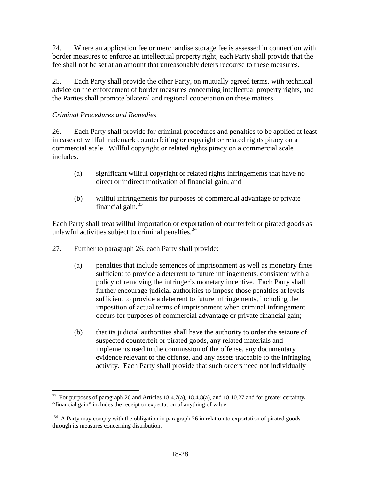24. Where an application fee or merchandise storage fee is assessed in connection with border measures to enforce an intellectual property right, each Party shall provide that the fee shall not be set at an amount that unreasonably deters recourse to these measures.

25. Each Party shall provide the other Party, on mutually agreed terms, with technical advice on the enforcement of border measures concerning intellectual property rights, and the Parties shall promote bilateral and regional cooperation on these matters.

# *Criminal Procedures and Remedies*

 $\overline{a}$ 

26. Each Party shall provide for criminal procedures and penalties to be applied at least in cases of willful trademark counterfeiting or copyright or related rights piracy on a commercial scale. Willful copyright or related rights piracy on a commercial scale includes:

- (a) significant willful copyright or related rights infringements that have no direct or indirect motivation of financial gain; and
- (b) willful infringements for purposes of commercial advantage or private financial gain. $33$

Each Party shall treat willful importation or exportation of counterfeit or pirated goods as unlawful activities subject to criminal penalties. $34$ 

- 27. Further to paragraph 26, each Party shall provide:
	- (a) penalties that include sentences of imprisonment as well as monetary fines sufficient to provide a deterrent to future infringements, consistent with a policy of removing the infringer's monetary incentive. Each Party shall further encourage judicial authorities to impose those penalties at levels sufficient to provide a deterrent to future infringements, including the imposition of actual terms of imprisonment when criminal infringement occurs for purposes of commercial advantage or private financial gain;
	- (b) that its judicial authorities shall have the authority to order the seizure of suspected counterfeit or pirated goods, any related materials and implements used in the commission of the offense, any documentary evidence relevant to the offense, and any assets traceable to the infringing activity. Each Party shall provide that such orders need not individually

<span id="page-27-0"></span><sup>33</sup> For purposes of paragraph 26 and Articles 18.4.7(a), 18.4.8(a), and 18.10.27 and for greater certainty**, "**financial gain" includes the receipt or expectation of anything of value.

<span id="page-27-1"></span> $34$  A Party may comply with the obligation in paragraph 26 in relation to exportation of pirated goods through its measures concerning distribution.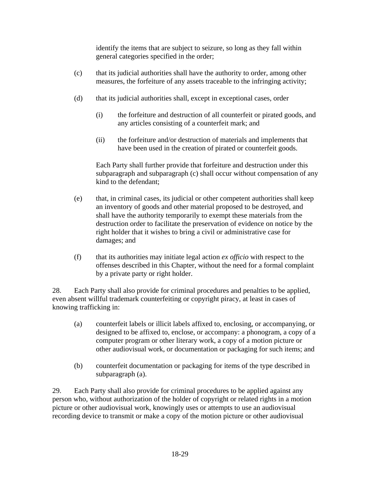identify the items that are subject to seizure, so long as they fall within general categories specified in the order;

- (c) that its judicial authorities shall have the authority to order, among other measures, the forfeiture of any assets traceable to the infringing activity;
- (d) that its judicial authorities shall, except in exceptional cases, order
	- (i) the forfeiture and destruction of all counterfeit or pirated goods, and any articles consisting of a counterfeit mark; and
	- (ii) the forfeiture and/or destruction of materials and implements that have been used in the creation of pirated or counterfeit goods.

Each Party shall further provide that forfeiture and destruction under this subparagraph and subparagraph (c) shall occur without compensation of any kind to the defendant;

- (e) that, in criminal cases, its judicial or other competent authorities shall keep an inventory of goods and other material proposed to be destroyed, and shall have the authority temporarily to exempt these materials from the destruction order to facilitate the preservation of evidence on notice by the right holder that it wishes to bring a civil or administrative case for damages; and
- (f) that its authorities may initiate legal action *ex officio* with respect to the offenses described in this Chapter, without the need for a formal complaint by a private party or right holder.

28. Each Party shall also provide for criminal procedures and penalties to be applied, even absent willful trademark counterfeiting or copyright piracy, at least in cases of knowing trafficking in:

- (a) counterfeit labels or illicit labels affixed to, enclosing, or accompanying, or designed to be affixed to, enclose, or accompany: a phonogram, a copy of a computer program or other literary work, a copy of a motion picture or other audiovisual work, or documentation or packaging for such items; and
- (b) counterfeit documentation or packaging for items of the type described in subparagraph (a).

29. Each Party shall also provide for criminal procedures to be applied against any person who, without authorization of the holder of copyright or related rights in a motion picture or other audiovisual work, knowingly uses or attempts to use an audiovisual recording device to transmit or make a copy of the motion picture or other audiovisual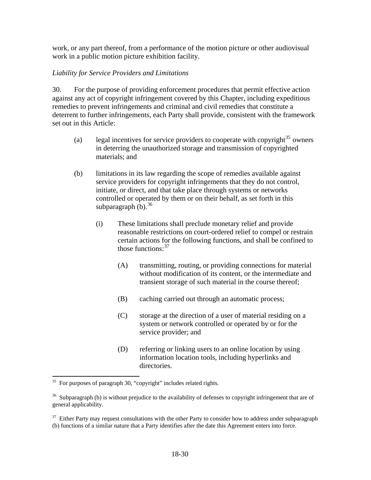work, or any part thereof, from a performance of the motion picture or other audiovisual work in a public motion picture exhibition facility.

### *Liability for Service Providers and Limitations*

30. For the purpose of providing enforcement procedures that permit effective action against any act of copyright infringement covered by this Chapter, including expeditious remedies to prevent infringements and criminal and civil remedies that constitute a deterrent to further infringements, each Party shall provide, consistent with the framework set out in this Article:

- (a) legal incentives for service providers to cooperate with copyright<sup>[35](#page-29-0)</sup> owners in deterring the unauthorized storage and transmission of copyrighted materials; and
- (b) limitations in its law regarding the scope of remedies available against service providers for copyright infringements that they do not control, initiate, or direct, and that take place through systems or networks controlled or operated by them or on their behalf, as set forth in this subparagraph  $(b)$ .  $36$ 
	- (i) These limitations shall preclude monetary relief and provide reasonable restrictions on court-ordered relief to compel or restrain certain actions for the following functions, and shall be confined to those functions:  $37$ 
		- (A) transmitting, routing, or providing connections for material without modification of its content, or the intermediate and transient storage of such material in the course thereof;
		- (B) caching carried out through an automatic process;
		- (C) storage at the direction of a user of material residing on a system or network controlled or operated by or for the service provider; and
		- (D) referring or linking users to an online location by using information location tools, including hyperlinks and directories.

<span id="page-29-0"></span> $35$  For purposes of paragraph 30, "copyright" includes related rights.

<span id="page-29-1"></span><sup>&</sup>lt;sup>36</sup> Subparagraph (b) is without prejudice to the availability of defenses to copyright infringement that are of general applicability.

<span id="page-29-2"></span><sup>&</sup>lt;sup>37</sup> Either Party may request consultations with the other Party to consider how to address under subparagraph (b) functions of a similar nature that a Party identifies after the date this Agreement enters into force.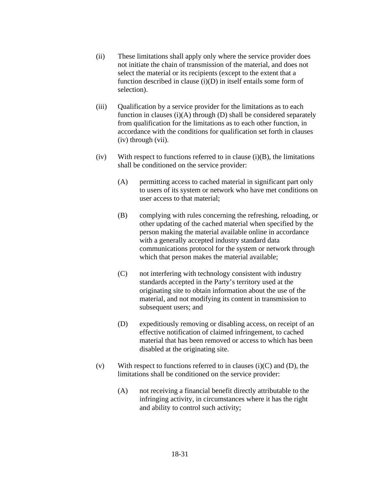- (ii) These limitations shall apply only where the service provider does not initiate the chain of transmission of the material, and does not select the material or its recipients (except to the extent that a function described in clause (i)(D) in itself entails some form of selection).
- (iii) Qualification by a service provider for the limitations as to each function in clauses  $(i)(A)$  through  $(D)$  shall be considered separately from qualification for the limitations as to each other function, in accordance with the conditions for qualification set forth in clauses (iv) through (vii).
- (iv) With respect to functions referred to in clause  $(i)(B)$ , the limitations shall be conditioned on the service provider:
	- (A) permitting access to cached material in significant part only to users of its system or network who have met conditions on user access to that material;
	- (B) complying with rules concerning the refreshing, reloading, or other updating of the cached material when specified by the person making the material available online in accordance with a generally accepted industry standard data communications protocol for the system or network through which that person makes the material available;
	- (C) not interfering with technology consistent with industry standards accepted in the Party's territory used at the originating site to obtain information about the use of the material, and not modifying its content in transmission to subsequent users; and
	- (D) expeditiously removing or disabling access, on receipt of an effective notification of claimed infringement, to cached material that has been removed or access to which has been disabled at the originating site.
- (v) With respect to functions referred to in clauses  $(i)(C)$  and  $(D)$ , the limitations shall be conditioned on the service provider:
	- (A) not receiving a financial benefit directly attributable to the infringing activity, in circumstances where it has the right and ability to control such activity;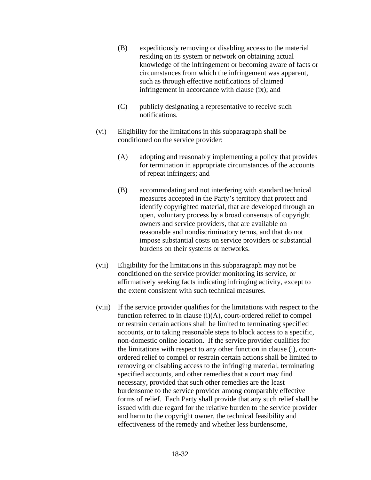- (B) expeditiously removing or disabling access to the material residing on its system or network on obtaining actual knowledge of the infringement or becoming aware of facts or circumstances from which the infringement was apparent, such as through effective notifications of claimed infringement in accordance with clause (ix); and
- (C) publicly designating a representative to receive such notifications.
- (vi) Eligibility for the limitations in this subparagraph shall be conditioned on the service provider:
	- (A) adopting and reasonably implementing a policy that provides for termination in appropriate circumstances of the accounts of repeat infringers; and
	- (B) accommodating and not interfering with standard technical measures accepted in the Party's territory that protect and identify copyrighted material, that are developed through an open, voluntary process by a broad consensus of copyright owners and service providers, that are available on reasonable and nondiscriminatory terms, and that do not impose substantial costs on service providers or substantial burdens on their systems or networks.
- (vii) Eligibility for the limitations in this subparagraph may not be conditioned on the service provider monitoring its service, or affirmatively seeking facts indicating infringing activity, except to the extent consistent with such technical measures.
- (viii) If the service provider qualifies for the limitations with respect to the function referred to in clause (i)(A), court-ordered relief to compel or restrain certain actions shall be limited to terminating specified accounts, or to taking reasonable steps to block access to a specific, non-domestic online location. If the service provider qualifies for the limitations with respect to any other function in clause (i), courtordered relief to compel or restrain certain actions shall be limited to removing or disabling access to the infringing material, terminating specified accounts, and other remedies that a court may find necessary, provided that such other remedies are the least burdensome to the service provider among comparably effective forms of relief. Each Party shall provide that any such relief shall be issued with due regard for the relative burden to the service provider and harm to the copyright owner, the technical feasibility and effectiveness of the remedy and whether less burdensome,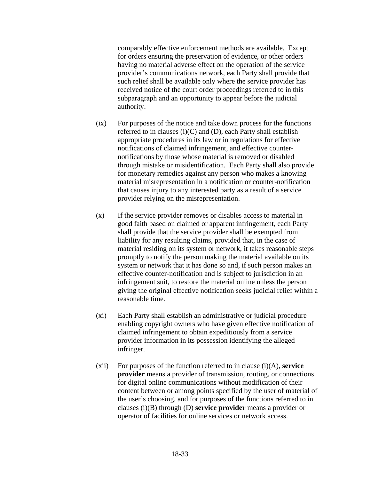comparably effective enforcement methods are available. Except for orders ensuring the preservation of evidence, or other orders having no material adverse effect on the operation of the service provider's communications network, each Party shall provide that such relief shall be available only where the service provider has received notice of the court order proceedings referred to in this subparagraph and an opportunity to appear before the judicial authority.

- (ix) For purposes of the notice and take down process for the functions referred to in clauses  $(i)(C)$  and  $(D)$ , each Party shall establish appropriate procedures in its law or in regulations for effective notifications of claimed infringement, and effective counternotifications by those whose material is removed or disabled through mistake or misidentification. Each Party shall also provide for monetary remedies against any person who makes a knowing material misrepresentation in a notification or counter-notification that causes injury to any interested party as a result of a service provider relying on the misrepresentation.
- (x) If the service provider removes or disables access to material in good faith based on claimed or apparent infringement, each Party shall provide that the service provider shall be exempted from liability for any resulting claims, provided that, in the case of material residing on its system or network, it takes reasonable steps promptly to notify the person making the material available on its system or network that it has done so and, if such person makes an effective counter-notification and is subject to jurisdiction in an infringement suit, to restore the material online unless the person giving the original effective notification seeks judicial relief within a reasonable time.
- (xi) Each Party shall establish an administrative or judicial procedure enabling copyright owners who have given effective notification of claimed infringement to obtain expeditiously from a service provider information in its possession identifying the alleged infringer.
- (xii) For purposes of the function referred to in clause (i)(A), **service provider** means a provider of transmission, routing, or connections for digital online communications without modification of their content between or among points specified by the user of material of the user's choosing, and for purposes of the functions referred to in clauses (i)(B) through (D) **service provider** means a provider or operator of facilities for online services or network access.